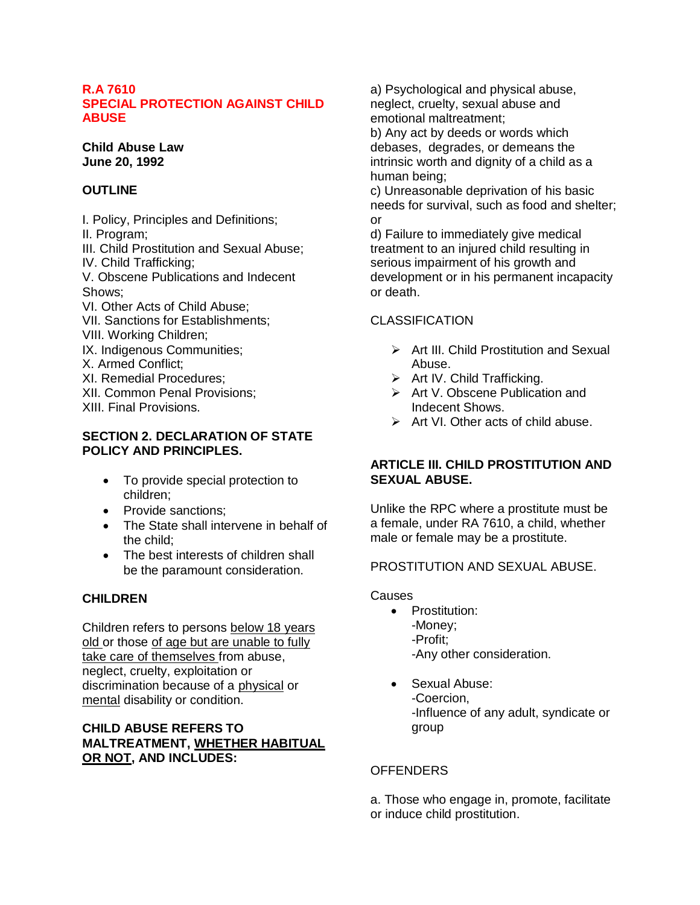### **R.A 7610 SPECIAL PROTECTION AGAINST CHILD ABUSE**

**Child Abuse Law June 20, 1992**

## **OUTLINE**

I. Policy, Principles and Definitions; II. Program; III. Child Prostitution and Sexual Abuse; IV. Child Trafficking; V. Obscene Publications and Indecent Shows; VI. Other Acts of Child Abuse; VII. Sanctions for Establishments; VIII. Working Children; IX. Indigenous Communities; X. Armed Conflict; XI. Remedial Procedures; XII. Common Penal Provisions; XIII. Final Provisions.

### **SECTION 2. DECLARATION OF STATE POLICY AND PRINCIPLES.**

- To provide special protection to children;
- Provide sanctions:
- The State shall intervene in behalf of the child;
- The best interests of children shall be the paramount consideration.

# **CHILDREN**

Children refers to persons below 18 years old or those of age but are unable to fully take care of themselves from abuse, neglect, cruelty, exploitation or discrimination because of a physical or mental disability or condition.

# **CHILD ABUSE REFERS TO MALTREATMENT, WHETHER HABITUAL OR NOT, AND INCLUDES:**

a) Psychological and physical abuse, neglect, cruelty, sexual abuse and emotional maltreatment;

b) Any act by deeds or words which debases, degrades, or demeans the intrinsic worth and dignity of a child as a human being;

c) Unreasonable deprivation of his basic needs for survival, such as food and shelter; or

d) Failure to immediately give medical treatment to an injured child resulting in serious impairment of his growth and development or in his permanent incapacity or death.

# CLASSIFICATION

- $\triangleright$  Art III. Child Prostitution and Sexual Abuse.
- $\triangleright$  Art IV. Child Trafficking.
- $\triangleright$  Art V. Obscene Publication and Indecent Shows.
- $\triangleright$  Art VI. Other acts of child abuse.

## **ARTICLE III. CHILD PROSTITUTION AND SEXUAL ABUSE.**

Unlike the RPC where a prostitute must be a female, under RA 7610, a child, whether male or female may be a prostitute.

## PROSTITUTION AND SEXUAL ABUSE.

Causes

- Prostitution: -Money; -Profit; -Any other consideration.
- Sexual Abuse: -Coercion, -Influence of any adult, syndicate or group

## OFFENDERS

a. Those who engage in, promote, facilitate or induce child prostitution.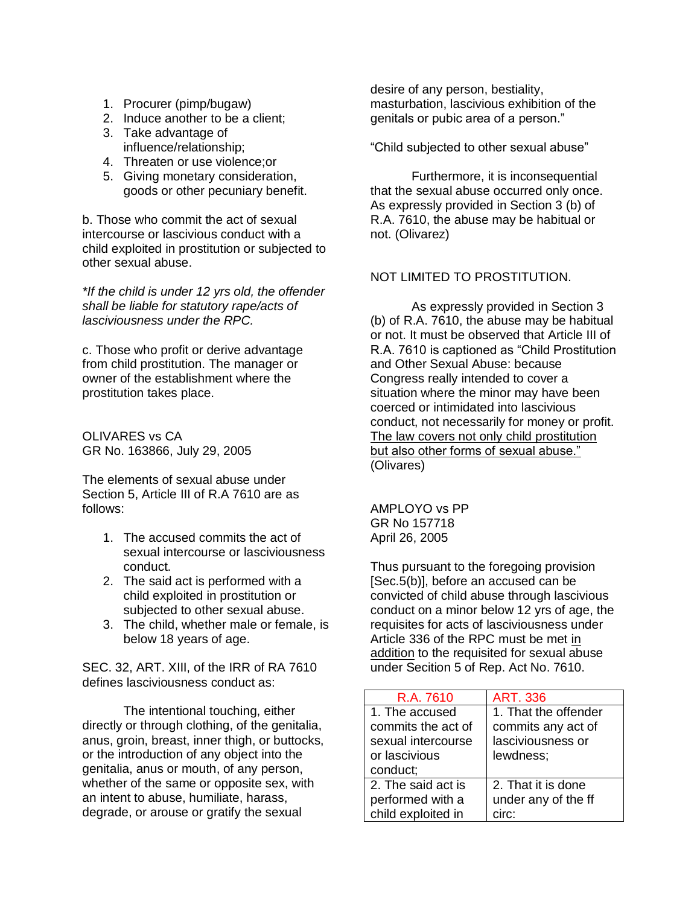- 1. Procurer (pimp/bugaw)
- 2. Induce another to be a client;
- 3. Take advantage of influence/relationship;
- 4. Threaten or use violence;or
- 5. Giving monetary consideration, goods or other pecuniary benefit.

b. Those who commit the act of sexual intercourse or lascivious conduct with a child exploited in prostitution or subjected to other sexual abuse.

*\*If the child is under 12 yrs old, the offender shall be liable for statutory rape/acts of lasciviousness under the RPC.*

c. Those who profit or derive advantage from child prostitution. The manager or owner of the establishment where the prostitution takes place.

OLIVARES vs CA GR No. 163866, July 29, 2005

The elements of sexual abuse under Section 5, Article III of R.A 7610 are as follows:

- 1. The accused commits the act of sexual intercourse or lasciviousness conduct.
- 2. The said act is performed with a child exploited in prostitution or subjected to other sexual abuse.
- 3. The child, whether male or female, is below 18 years of age.

SEC. 32, ART. XIII, of the IRR of RA 7610 defines lasciviousness conduct as:

The intentional touching, either directly or through clothing, of the genitalia, anus, groin, breast, inner thigh, or buttocks, or the introduction of any object into the genitalia, anus or mouth, of any person, whether of the same or opposite sex, with an intent to abuse, humiliate, harass, degrade, or arouse or gratify the sexual

desire of any person, bestiality, masturbation, lascivious exhibition of the genitals or pubic area of a person."

"Child subjected to other sexual abuse"

Furthermore, it is inconsequential that the sexual abuse occurred only once. As expressly provided in Section 3 (b) of R.A. 7610, the abuse may be habitual or not. (Olivarez)

## NOT LIMITED TO PROSTITUTION.

As expressly provided in Section 3 (b) of R.A. 7610, the abuse may be habitual or not. It must be observed that Article III of R.A. 7610 is captioned as "Child Prostitution and Other Sexual Abuse: because Congress really intended to cover a situation where the minor may have been coerced or intimidated into lascivious conduct, not necessarily for money or profit. The law covers not only child prostitution but also other forms of sexual abuse." (Olivares)

AMPLOYO vs PP GR No 157718 April 26, 2005

Thus pursuant to the foregoing provision [Sec.5(b)], before an accused can be convicted of child abuse through lascivious conduct on a minor below 12 yrs of age, the requisites for acts of lasciviousness under Article 336 of the RPC must be met in addition to the requisited for sexual abuse under Secition 5 of Rep. Act No. 7610.

| R.A. 7610          | <b>ART. 336</b>      |
|--------------------|----------------------|
| 1. The accused     | 1. That the offender |
| commits the act of | commits any act of   |
| sexual intercourse | lasciviousness or    |
| or lascivious      | lewdness;            |
| conduct;           |                      |
| 2. The said act is | 2. That it is done   |
| performed with a   | under any of the ff  |
| child exploited in | circ:                |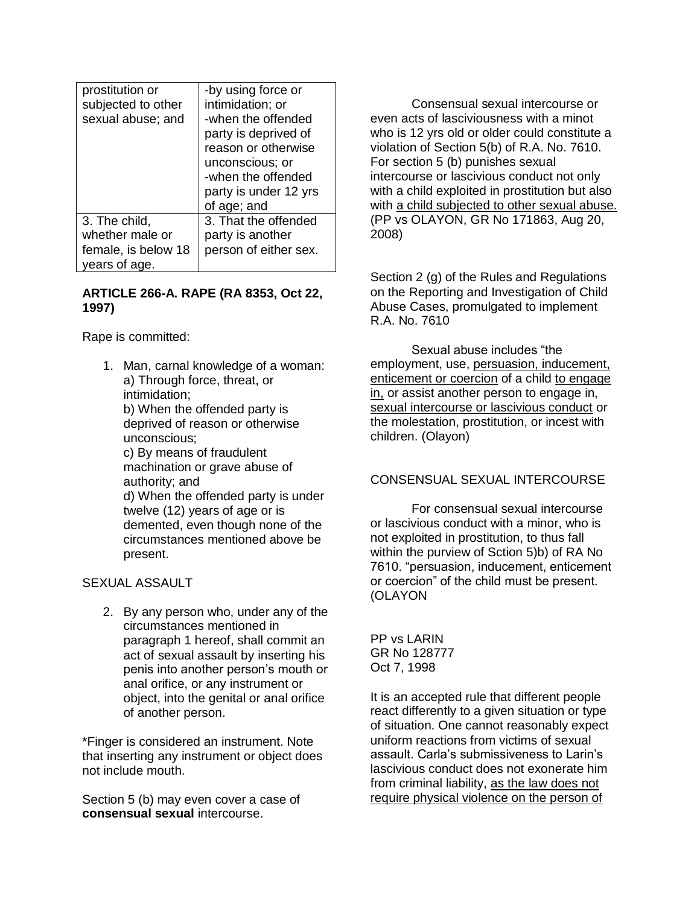| prostitution or<br>subjected to other<br>sexual abuse; and               | -by using force or<br>intimidation; or<br>-when the offended<br>party is deprived of<br>reason or otherwise<br>unconscious; or<br>-when the offended<br>party is under 12 yrs<br>of age; and |
|--------------------------------------------------------------------------|----------------------------------------------------------------------------------------------------------------------------------------------------------------------------------------------|
| 3. The child,<br>whether male or<br>female, is below 18<br>years of age. | 3. That the offended<br>party is another<br>person of either sex.                                                                                                                            |

### **ARTICLE 266-A. RAPE (RA 8353, Oct 22, 1997)**

Rape is committed:

1. Man, carnal knowledge of a woman: a) Through force, threat, or intimidation;

b) When the offended party is deprived of reason or otherwise unconscious;

c) By means of fraudulent machination or grave abuse of authority; and d) When the offended party is under

twelve (12) years of age or is demented, even though none of the circumstances mentioned above be present.

SEXUAL ASSAULT

2. By any person who, under any of the circumstances mentioned in paragraph 1 hereof, shall commit an act of sexual assault by inserting his penis into another person's mouth or anal orifice, or any instrument or object, into the genital or anal orifice of another person.

\*Finger is considered an instrument. Note that inserting any instrument or object does not include mouth.

Section 5 (b) may even cover a case of **consensual sexual** intercourse.

Consensual sexual intercourse or even acts of lasciviousness with a minot who is 12 yrs old or older could constitute a violation of Section 5(b) of R.A. No. 7610. For section 5 (b) punishes sexual intercourse or lascivious conduct not only with a child exploited in prostitution but also with a child subjected to other sexual abuse. (PP vs OLAYON, GR No 171863, Aug 20, 2008)

Section 2 (g) of the Rules and Regulations on the Reporting and Investigation of Child Abuse Cases, promulgated to implement R.A. No. 7610

Sexual abuse includes "the employment, use, persuasion, inducement, enticement or coercion of a child to engage in, or assist another person to engage in, sexual intercourse or lascivious conduct or the molestation, prostitution, or incest with children. (Olayon)

## CONSENSUAL SEXUAL INTERCOURSE

For consensual sexual intercourse or lascivious conduct with a minor, who is not exploited in prostitution, to thus fall within the purview of Sction 5)b) of RA No 7610. "persuasion, inducement, enticement or coercion" of the child must be present. (OLAYON

PP vs LARIN GR No 128777 Oct 7, 1998

It is an accepted rule that different people react differently to a given situation or type of situation. One cannot reasonably expect uniform reactions from victims of sexual assault. Carla's submissiveness to Larin's lascivious conduct does not exonerate him from criminal liability, as the law does not require physical violence on the person of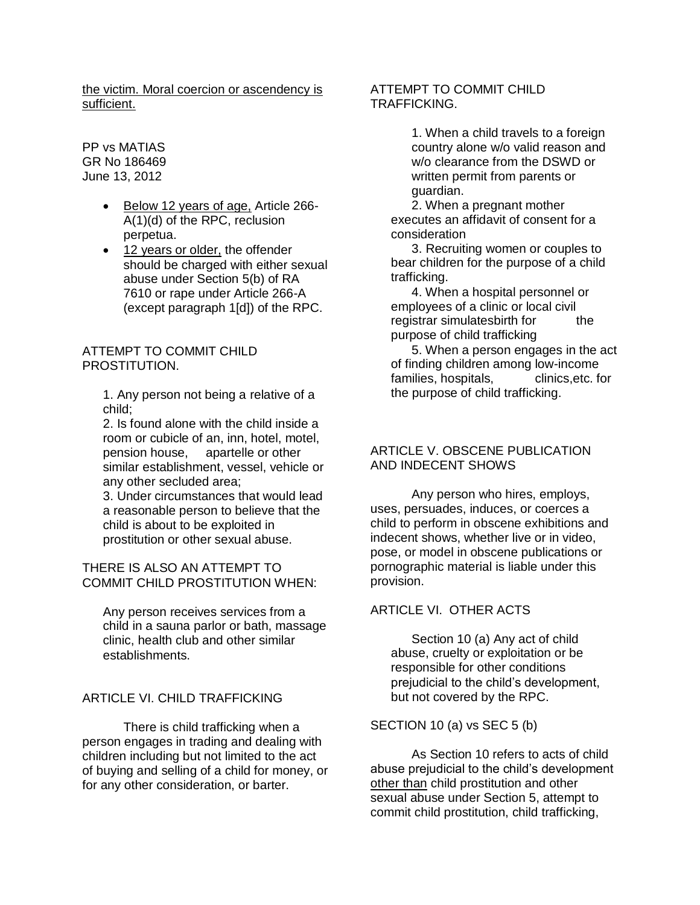the victim. Moral coercion or ascendency is sufficient.

PP vs MATIAS GR No 186469 June 13, 2012

- Below 12 years of age, Article 266-A(1)(d) of the RPC, reclusion perpetua.
- 12 years or older, the offender should be charged with either sexual abuse under Section 5(b) of RA 7610 or rape under Article 266-A (except paragraph 1[d]) of the RPC.

#### ATTEMPT TO COMMIT CHILD PROSTITUTION.

1. Any person not being a relative of a child;

2. Is found alone with the child inside a room or cubicle of an, inn, hotel, motel, pension house, apartelle or other similar establishment, vessel, vehicle or any other secluded area;

3. Under circumstances that would lead a reasonable person to believe that the child is about to be exploited in prostitution or other sexual abuse.

THERE IS ALSO AN ATTEMPT TO COMMIT CHILD PROSTITUTION WHEN:

Any person receives services from a child in a sauna parlor or bath, massage clinic, health club and other similar establishments.

### ARTICLE VI. CHILD TRAFFICKING

There is child trafficking when a person engages in trading and dealing with children including but not limited to the act of buying and selling of a child for money, or for any other consideration, or barter.

### ATTEMPT TO COMMIT CHILD TRAFFICKING.

1. When a child travels to a foreign country alone w/o valid reason and w/o clearance from the DSWD or written permit from parents or guardian.

2. When a pregnant mother executes an affidavit of consent for a consideration

3. Recruiting women or couples to bear children for the purpose of a child trafficking.

4. When a hospital personnel or employees of a clinic or local civil registrar simulatesbirth for the purpose of child trafficking

5. When a person engages in the act of finding children among low-income families, hospitals, elinics, etc. for the purpose of child trafficking.

### ARTICLE V. OBSCENE PUBLICATION AND INDECENT SHOWS

Any person who hires, employs, uses, persuades, induces, or coerces a child to perform in obscene exhibitions and indecent shows, whether live or in video, pose, or model in obscene publications or pornographic material is liable under this provision.

#### ARTICLE VI. OTHER ACTS

Section 10 (a) Any act of child abuse, cruelty or exploitation or be responsible for other conditions prejudicial to the child's development, but not covered by the RPC.

SECTION 10 (a) vs SEC 5 (b)

As Section 10 refers to acts of child abuse prejudicial to the child's development other than child prostitution and other sexual abuse under Section 5, attempt to commit child prostitution, child trafficking,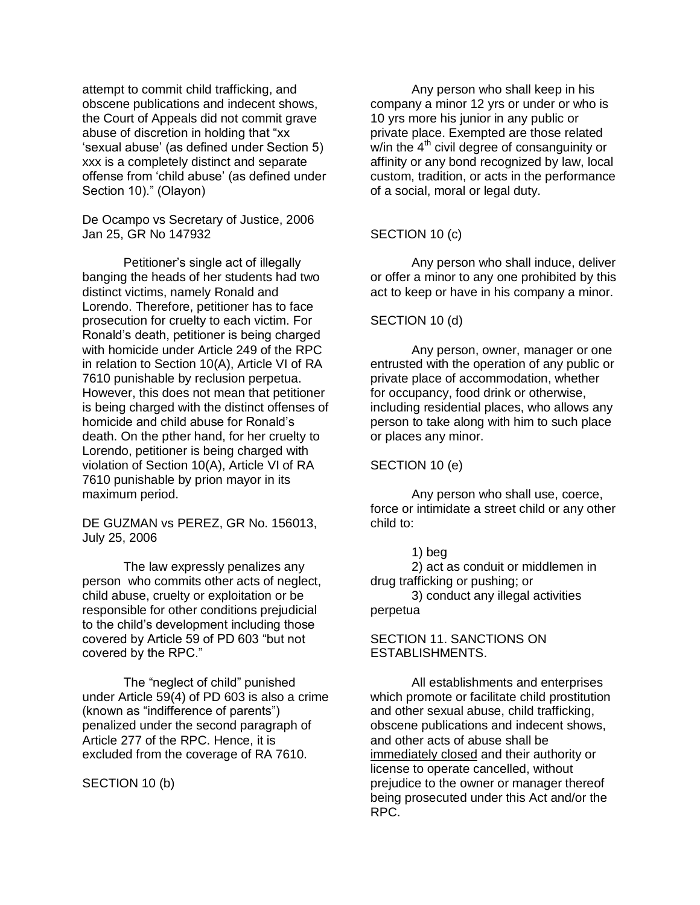attempt to commit child trafficking, and obscene publications and indecent shows, the Court of Appeals did not commit grave abuse of discretion in holding that "xx 'sexual abuse' (as defined under Section 5) xxx is a completely distinct and separate offense from 'child abuse' (as defined under Section 10)." (Olayon)

De Ocampo vs Secretary of Justice, 2006 Jan 25, GR No 147932

Petitioner's single act of illegally banging the heads of her students had two distinct victims, namely Ronald and Lorendo. Therefore, petitioner has to face prosecution for cruelty to each victim. For Ronald's death, petitioner is being charged with homicide under Article 249 of the RPC in relation to Section 10(A), Article VI of RA 7610 punishable by reclusion perpetua. However, this does not mean that petitioner is being charged with the distinct offenses of homicide and child abuse for Ronald's death. On the pther hand, for her cruelty to Lorendo, petitioner is being charged with violation of Section 10(A), Article VI of RA 7610 punishable by prion mayor in its maximum period.

DE GUZMAN vs PEREZ, GR No. 156013, July 25, 2006

The law expressly penalizes any person who commits other acts of neglect, child abuse, cruelty or exploitation or be responsible for other conditions prejudicial to the child's development including those covered by Article 59 of PD 603 "but not covered by the RPC."

The "neglect of child" punished under Article 59(4) of PD 603 is also a crime (known as "indifference of parents") penalized under the second paragraph of Article 277 of the RPC. Hence, it is excluded from the coverage of RA 7610.

SECTION 10 (b)

Any person who shall keep in his company a minor 12 yrs or under or who is 10 yrs more his junior in any public or private place. Exempted are those related  $w$ /in the  $4<sup>th</sup>$  civil degree of consanguinity or affinity or any bond recognized by law, local custom, tradition, or acts in the performance of a social, moral or legal duty.

### SECTION 10 (c)

Any person who shall induce, deliver or offer a minor to any one prohibited by this act to keep or have in his company a minor.

#### SECTION 10 (d)

Any person, owner, manager or one entrusted with the operation of any public or private place of accommodation, whether for occupancy, food drink or otherwise, including residential places, who allows any person to take along with him to such place or places any minor.

#### SECTION 10 (e)

Any person who shall use, coerce, force or intimidate a street child or any other child to:

#### 1) beg

2) act as conduit or middlemen in drug trafficking or pushing; or

3) conduct any illegal activities perpetua

#### SECTION 11. SANCTIONS ON ESTABLISHMENTS.

All establishments and enterprises which promote or facilitate child prostitution and other sexual abuse, child trafficking, obscene publications and indecent shows, and other acts of abuse shall be immediately closed and their authority or license to operate cancelled, without prejudice to the owner or manager thereof being prosecuted under this Act and/or the RPC.